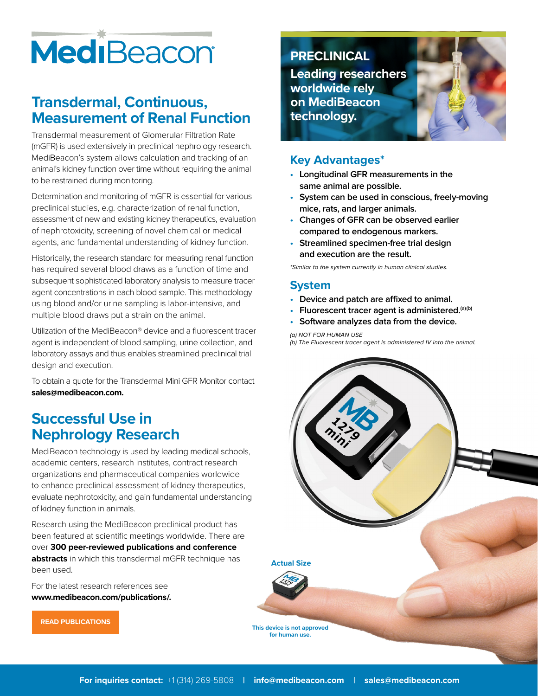# MediBeacon

# **Transdermal, Continuous, Measurement of Renal Function**

Transdermal measurement of Glomerular Filtration Rate (mGFR) is used extensively in preclinical nephrology research. MediBeacon's system allows calculation and tracking of an animal's kidney function over time without requiring the animal to be restrained during monitoring.

Determination and monitoring of mGFR is essential for various preclinical studies, e.g. characterization of renal function, assessment of new and existing kidney therapeutics, evaluation of nephrotoxicity, screening of novel chemical or medical agents, and fundamental understanding of kidney function.

Historically, the research standard for measuring renal function has required several blood draws as a function of time and subsequent sophisticated laboratory analysis to measure tracer agent concentrations in each blood sample. This methodology using blood and/or urine sampling is labor-intensive, and multiple blood draws put a strain on the animal.

Utilization of the MediBeacon® device and a fluorescent tracer agent is independent of blood sampling, urine collection, and laboratory assays and thus enables streamlined preclinical trial design and execution.

To obtain a quote for the Transdermal Mini GFR Monitor contact **sales@medibeacon.com.**

# **Successful Use in Nephrology Research**

MediBeacon technology is used by leading medical schools, academic centers, research institutes, contract research organizations and pharmaceutical companies worldwide to enhance preclinical assessment of kidney therapeutics, evaluate nephrotoxicity, and gain fundamental understanding of kidney function in animals.

Research using the MediBeacon preclinical product has been featured at scientific meetings worldwide. There are over **300 peer-reviewed publications and conference abstracts** in which this transdermal mGFR technique has been used.

For the latest research references see **www.medibeacon.com/publications/.** 

**PRECLINICAL**

**Leading researchers worldwide rely on MediBeacon technology.**

#### **Key Advantages\***

- **• Longitudinal GFR measurements in the same animal are possible.**
- **• System can be used in conscious, freely-moving mice, rats, and larger animals.**
- **• Changes of GFR can be observed earlier compared to endogenous markers.**
- **• Streamlined specimen-free trial design and execution are the result.**

*\*Similar to the system currently in human clinical studies.*

### **System**

- **• Device and patch are affixed to animal.**
- **• Fluorescent tracer agent is administered.(a)(b)**
- **• Software analyzes data from the device.**

*(a) NOT FOR HUMAN USE (b) The Fluorescent tracer agent is administered IV into the animal.*